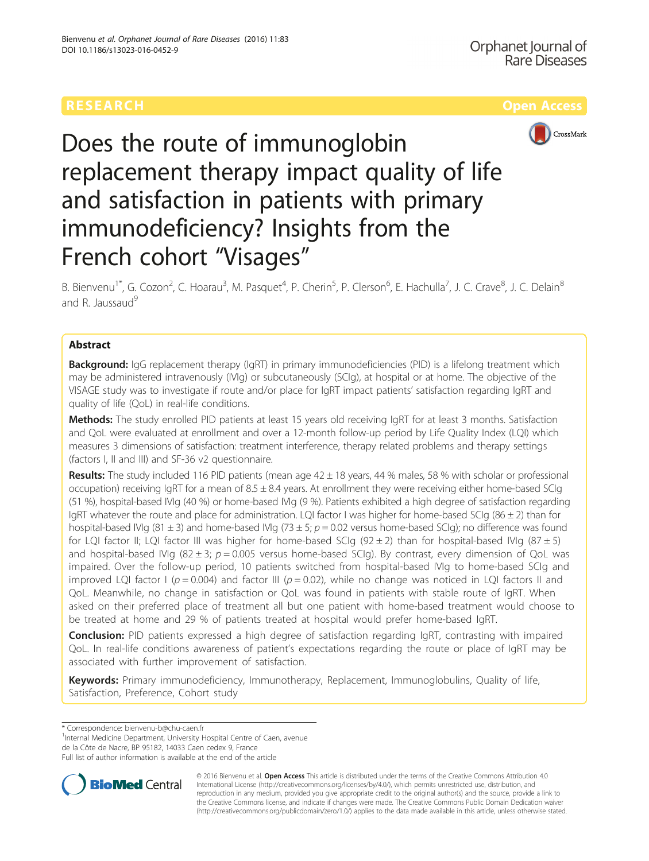

# Does the route of immunoglobin replacement therapy impact quality of life and satisfaction in patients with primary immunodeficiency? Insights from the French cohort "Visages"

B. Bienvenu<sup>1\*</sup>, G. Cozon<sup>2</sup>, C. Hoarau<sup>3</sup>, M. Pasquet<sup>4</sup>, P. Cherin<sup>5</sup>, P. Clerson<sup>6</sup>, E. Hachulla<sup>7</sup>, J. C. Crave<sup>8</sup>, J. C. Delain<sup>8</sup> and R. Jaussaud<sup>9</sup>

#### Abstract

**Background:** IgG replacement therapy (IgRT) in primary immunodeficiencies (PID) is a lifelong treatment which may be administered intravenously (IVIg) or subcutaneously (SCIg), at hospital or at home. The objective of the VISAGE study was to investigate if route and/or place for IgRT impact patients' satisfaction regarding IgRT and quality of life (QoL) in real-life conditions.

Methods: The study enrolled PID patients at least 15 years old receiving IgRT for at least 3 months. Satisfaction and QoL were evaluated at enrollment and over a 12-month follow-up period by Life Quality Index (LQI) which measures 3 dimensions of satisfaction: treatment interference, therapy related problems and therapy settings (factors I, II and III) and SF-36 v2 questionnaire.

Results: The study included 116 PID patients (mean age  $42 \pm 18$  years, 44 % males, 58 % with scholar or professional occupation) receiving IgRT for a mean of  $8.5 \pm 8.4$  years. At enrollment they were receiving either home-based SCIg (51 %), hospital-based IVIg (40 %) or home-based IVIg (9 %). Patients exhibited a high degree of satisfaction regarding IgRT whatever the route and place for administration. LQI factor I was higher for home-based SCIg (86  $\pm$  2) than for hospital-based IVIg (81  $\pm$  3) and home-based IVIg (73  $\pm$  5; p = 0.02 versus home-based SCIg); no difference was found for LQI factor II; LQI factor III was higher for home-based SCIg (92 ± 2) than for hospital-based IVIg (87 ± 5) and hospital-based IVIg (82 ± 3;  $p = 0.005$  versus home-based SCIg). By contrast, every dimension of QoL was impaired. Over the follow-up period, 10 patients switched from hospital-based IVIg to home-based SCIg and improved LQI factor I ( $p = 0.004$ ) and factor III ( $p = 0.02$ ), while no change was noticed in LQI factors II and QoL. Meanwhile, no change in satisfaction or QoL was found in patients with stable route of IgRT. When asked on their preferred place of treatment all but one patient with home-based treatment would choose to be treated at home and 29 % of patients treated at hospital would prefer home-based IgRT.

**Conclusion:** PID patients expressed a high degree of satisfaction regarding IgRT, contrasting with impaired QoL. In real-life conditions awareness of patient's expectations regarding the route or place of IgRT may be associated with further improvement of satisfaction.

Keywords: Primary immunodeficiency, Immunotherapy, Replacement, Immunoglobulins, Quality of life, Satisfaction, Preference, Cohort study

\* Correspondence: [bienvenu-b@chu-caen.fr](mailto:bienvenu-b@chu-caen.fr) <sup>1</sup>

<sup>1</sup>Internal Medicine Department, University Hospital Centre of Caen, avenue de la Côte de Nacre, BP 95182, 14033 Caen cedex 9, France

Full list of author information is available at the end of the article



© 2016 Bienvenu et al. Open Access This article is distributed under the terms of the Creative Commons Attribution 4.0 International License [\(http://creativecommons.org/licenses/by/4.0/](http://creativecommons.org/licenses/by/4.0/)), which permits unrestricted use, distribution, and reproduction in any medium, provided you give appropriate credit to the original author(s) and the source, provide a link to the Creative Commons license, and indicate if changes were made. The Creative Commons Public Domain Dedication waiver [\(http://creativecommons.org/publicdomain/zero/1.0/](http://creativecommons.org/publicdomain/zero/1.0/)) applies to the data made available in this article, unless otherwise stated.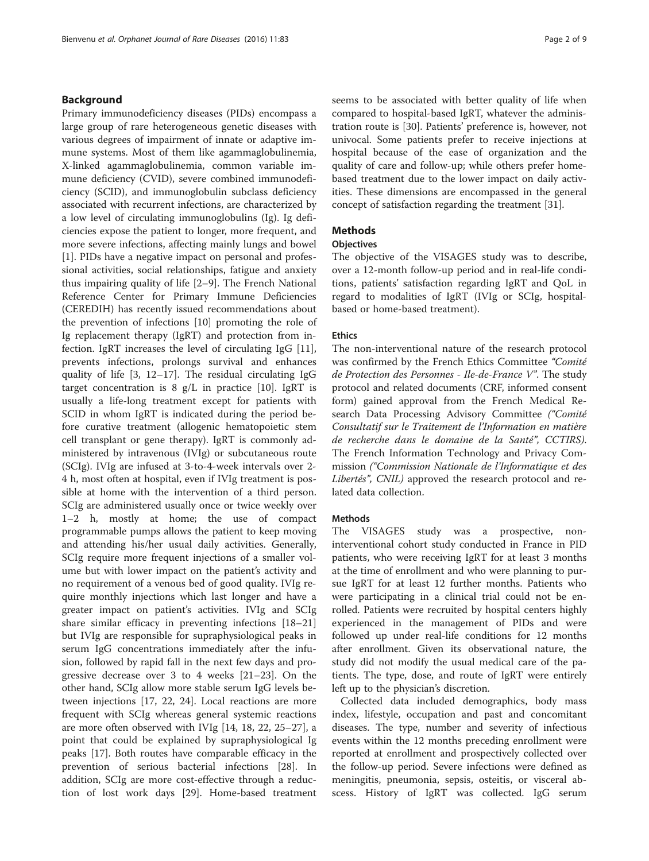#### Background

Primary immunodeficiency diseases (PIDs) encompass a large group of rare heterogeneous genetic diseases with various degrees of impairment of innate or adaptive immune systems. Most of them like agammaglobulinemia, X-linked agammaglobulinemia, common variable immune deficiency (CVID), severe combined immunodeficiency (SCID), and immunoglobulin subclass deficiency associated with recurrent infections, are characterized by a low level of circulating immunoglobulins (Ig). Ig deficiencies expose the patient to longer, more frequent, and more severe infections, affecting mainly lungs and bowel [[1\]](#page-7-0). PIDs have a negative impact on personal and professional activities, social relationships, fatigue and anxiety thus impairing quality of life [\[2](#page-7-0)–[9](#page-7-0)]. The French National Reference Center for Primary Immune Deficiencies (CEREDIH) has recently issued recommendations about the prevention of infections [\[10\]](#page-7-0) promoting the role of Ig replacement therapy (IgRT) and protection from infection. IgRT increases the level of circulating IgG [\[11](#page-7-0)], prevents infections, prolongs survival and enhances quality of life [\[3](#page-7-0), [12](#page-7-0)–[17\]](#page-7-0). The residual circulating IgG target concentration is 8 g/L in practice [\[10\]](#page-7-0). IgRT is usually a life-long treatment except for patients with SCID in whom IgRT is indicated during the period before curative treatment (allogenic hematopoietic stem cell transplant or gene therapy). IgRT is commonly administered by intravenous (IVIg) or subcutaneous route (SCIg). IVIg are infused at 3-to-4-week intervals over 2- 4 h, most often at hospital, even if IVIg treatment is possible at home with the intervention of a third person. SCIg are administered usually once or twice weekly over 1–2 h, mostly at home; the use of compact programmable pumps allows the patient to keep moving and attending his/her usual daily activities. Generally, SCIg require more frequent injections of a smaller volume but with lower impact on the patient's activity and no requirement of a venous bed of good quality. IVIg require monthly injections which last longer and have a greater impact on patient's activities. IVIg and SCIg share similar efficacy in preventing infections [[18](#page-7-0)–[21](#page-7-0)] but IVIg are responsible for supraphysiological peaks in serum IgG concentrations immediately after the infusion, followed by rapid fall in the next few days and progressive decrease over 3 to 4 weeks [\[21](#page-7-0)–[23\]](#page-7-0). On the other hand, SCIg allow more stable serum IgG levels between injections [\[17](#page-7-0), [22](#page-7-0), [24\]](#page-7-0). Local reactions are more frequent with SCIg whereas general systemic reactions are more often observed with IVIg [\[14](#page-7-0), [18](#page-7-0), [22, 25](#page-7-0)–[27\]](#page-7-0), a point that could be explained by supraphysiological Ig peaks [[17](#page-7-0)]. Both routes have comparable efficacy in the prevention of serious bacterial infections [\[28\]](#page-7-0). In addition, SCIg are more cost-effective through a reduction of lost work days [\[29](#page-7-0)]. Home-based treatment seems to be associated with better quality of life when compared to hospital-based IgRT, whatever the administration route is [[30](#page-7-0)]. Patients' preference is, however, not univocal. Some patients prefer to receive injections at hospital because of the ease of organization and the quality of care and follow-up; while others prefer homebased treatment due to the lower impact on daily activities. These dimensions are encompassed in the general concept of satisfaction regarding the treatment [[31\]](#page-7-0).

### **Methods**

#### **Objectives**

The objective of the VISAGES study was to describe, over a 12-month follow-up period and in real-life conditions, patients' satisfaction regarding IgRT and QoL in regard to modalities of IgRT (IVIg or SCIg, hospitalbased or home-based treatment).

#### Ethics

The non-interventional nature of the research protocol was confirmed by the French Ethics Committee "Comité de Protection des Personnes - Ile-de-France V". The study protocol and related documents (CRF, informed consent form) gained approval from the French Medical Research Data Processing Advisory Committee ("Comité Consultatif sur le Traitement de l'Information en matière de recherche dans le domaine de la Santé", CCTIRS). The French Information Technology and Privacy Commission ("Commission Nationale de l'Informatique et des Libertés", CNIL) approved the research protocol and related data collection.

#### Methods

The VISAGES study was a prospective, noninterventional cohort study conducted in France in PID patients, who were receiving IgRT for at least 3 months at the time of enrollment and who were planning to pursue IgRT for at least 12 further months. Patients who were participating in a clinical trial could not be enrolled. Patients were recruited by hospital centers highly experienced in the management of PIDs and were followed up under real-life conditions for 12 months after enrollment. Given its observational nature, the study did not modify the usual medical care of the patients. The type, dose, and route of IgRT were entirely left up to the physician's discretion.

Collected data included demographics, body mass index, lifestyle, occupation and past and concomitant diseases. The type, number and severity of infectious events within the 12 months preceding enrollment were reported at enrollment and prospectively collected over the follow-up period. Severe infections were defined as meningitis, pneumonia, sepsis, osteitis, or visceral abscess. History of IgRT was collected. IgG serum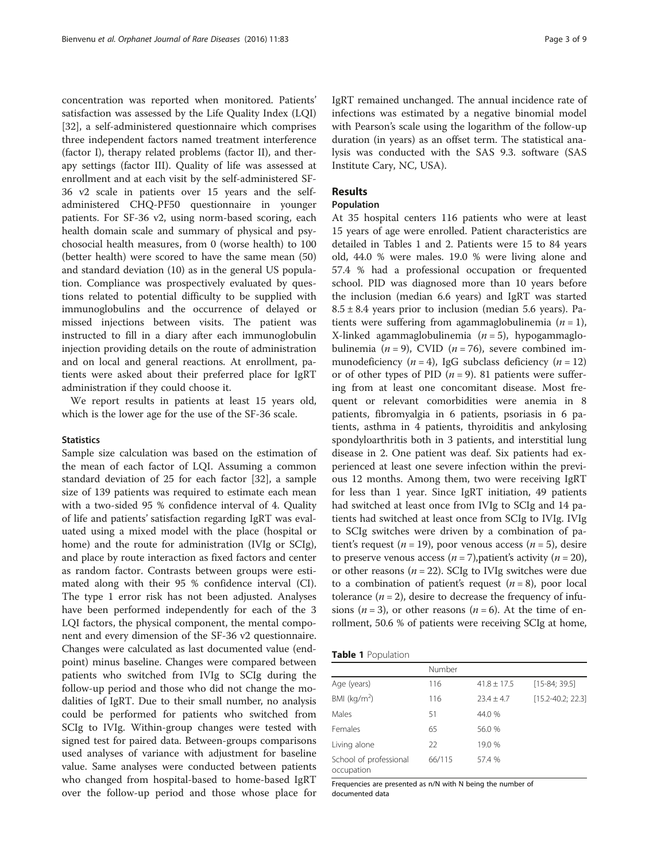concentration was reported when monitored. Patients' satisfaction was assessed by the Life Quality Index (LQI) [[32\]](#page-7-0), a self-administered questionnaire which comprises three independent factors named treatment interference (factor I), therapy related problems (factor II), and therapy settings (factor III). Quality of life was assessed at enrollment and at each visit by the self-administered SF-36 v2 scale in patients over 15 years and the selfadministered CHQ-PF50 questionnaire in younger patients. For SF-36 v2, using norm-based scoring, each health domain scale and summary of physical and psychosocial health measures, from 0 (worse health) to 100 (better health) were scored to have the same mean (50) and standard deviation (10) as in the general US population. Compliance was prospectively evaluated by questions related to potential difficulty to be supplied with immunoglobulins and the occurrence of delayed or missed injections between visits. The patient was instructed to fill in a diary after each immunoglobulin injection providing details on the route of administration and on local and general reactions. At enrollment, patients were asked about their preferred place for IgRT administration if they could choose it.

We report results in patients at least 15 years old, which is the lower age for the use of the SF-36 scale.

#### **Statistics**

Sample size calculation was based on the estimation of the mean of each factor of LQI. Assuming a common standard deviation of 25 for each factor [[32\]](#page-7-0), a sample size of 139 patients was required to estimate each mean with a two-sided 95 % confidence interval of 4. Quality of life and patients' satisfaction regarding IgRT was evaluated using a mixed model with the place (hospital or home) and the route for administration (IVIg or SCIg), and place by route interaction as fixed factors and center as random factor. Contrasts between groups were estimated along with their 95 % confidence interval (CI). The type 1 error risk has not been adjusted. Analyses have been performed independently for each of the 3 LQI factors, the physical component, the mental component and every dimension of the SF-36 v2 questionnaire. Changes were calculated as last documented value (endpoint) minus baseline. Changes were compared between patients who switched from IVIg to SCIg during the follow-up period and those who did not change the modalities of IgRT. Due to their small number, no analysis could be performed for patients who switched from SCIg to IVIg. Within-group changes were tested with signed test for paired data. Between-groups comparisons used analyses of variance with adjustment for baseline value. Same analyses were conducted between patients who changed from hospital-based to home-based IgRT over the follow-up period and those whose place for

IgRT remained unchanged. The annual incidence rate of infections was estimated by a negative binomial model with Pearson's scale using the logarithm of the follow-up duration (in years) as an offset term. The statistical analysis was conducted with the SAS 9.3. software (SAS Institute Cary, NC, USA).

#### Results

#### Population

At 35 hospital centers 116 patients who were at least 15 years of age were enrolled. Patient characteristics are detailed in Tables 1 and [2.](#page-3-0) Patients were 15 to 84 years old, 44.0 % were males. 19.0 % were living alone and 57.4 % had a professional occupation or frequented school. PID was diagnosed more than 10 years before the inclusion (median 6.6 years) and IgRT was started  $8.5 \pm 8.4$  years prior to inclusion (median 5.6 years). Patients were suffering from agammaglobulinemia  $(n = 1)$ , X-linked agammaglobulinemia  $(n = 5)$ , hypogammaglobulinemia ( $n = 9$ ), CVID ( $n = 76$ ), severe combined immunodeficiency ( $n = 4$ ), IgG subclass deficiency ( $n = 12$ ) or of other types of PID  $(n = 9)$ . 81 patients were suffering from at least one concomitant disease. Most frequent or relevant comorbidities were anemia in 8 patients, fibromyalgia in 6 patients, psoriasis in 6 patients, asthma in 4 patients, thyroiditis and ankylosing spondyloarthritis both in 3 patients, and interstitial lung disease in 2. One patient was deaf. Six patients had experienced at least one severe infection within the previous 12 months. Among them, two were receiving IgRT for less than 1 year. Since IgRT initiation, 49 patients had switched at least once from IVIg to SCIg and 14 patients had switched at least once from SCIg to IVIg. IVIg to SCIg switches were driven by a combination of patient's request ( $n = 19$ ), poor venous access ( $n = 5$ ), desire to preserve venous access ( $n = 7$ ), patient's activity ( $n = 20$ ), or other reasons ( $n = 22$ ). SCIg to IVIg switches were due to a combination of patient's request  $(n = 8)$ , poor local tolerance  $(n = 2)$ , desire to decrease the frequency of infusions ( $n = 3$ ), or other reasons ( $n = 6$ ). At the time of enrollment, 50.6 % of patients were receiving SCIg at home,

| Table 1 Population |  |  |
|--------------------|--|--|
|--------------------|--|--|

|                                      | Number |                 |                       |
|--------------------------------------|--------|-----------------|-----------------------|
| Age (years)                          | 116    | $41.8 \pm 17.5$ | $[15-84; 39.5]$       |
| BMI ( $kg/m2$ )                      | 116    | $23.4 + 4.7$    | $[15.2 - 40.2; 22.3]$ |
| Males                                | 51     | 44.0 %          |                       |
| Females                              | 65     | 56.0 %          |                       |
| Living alone                         | 22     | 19.0 %          |                       |
| School of professional<br>occupation | 66/115 | 57.4 %          |                       |

Frequencies are presented as n/N with N being the number of documented data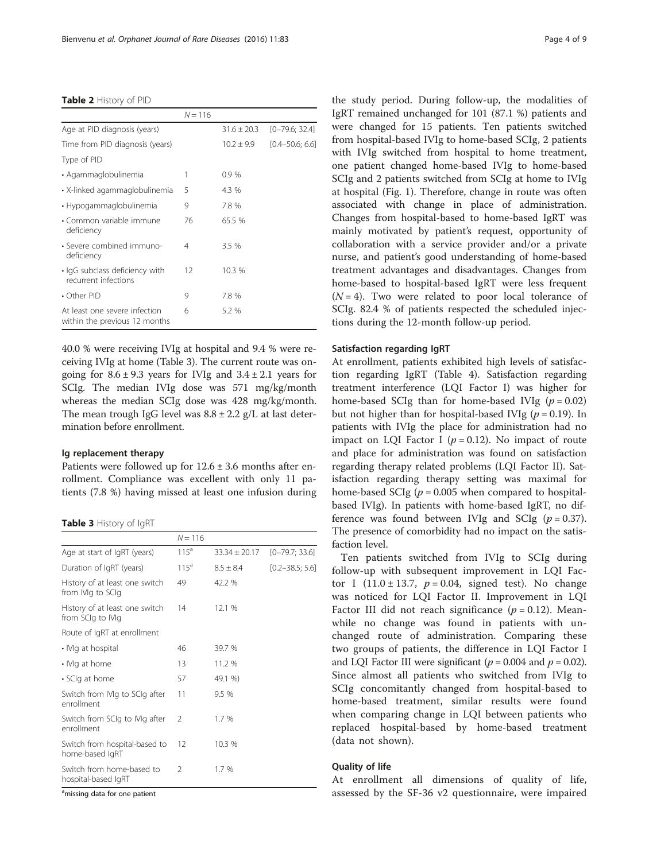#### <span id="page-3-0"></span>Table 2 History of PID

|                                                                | $N = 116$ |                 |                     |
|----------------------------------------------------------------|-----------|-----------------|---------------------|
| Age at PID diagnosis (years)                                   |           | $31.6 \pm 20.3$ | $[0-79.6; 32.4]$    |
| Time from PID diagnosis (years)                                |           | $10.2 \pm 9.9$  | $[0.4 - 50.6; 6.6]$ |
| Type of PID                                                    |           |                 |                     |
| • Agammaglobulinemia                                           | 1         | 0.9%            |                     |
| • X-linked agammaglobulinemia                                  | 5         | 4.3 %           |                     |
| $\cdot$ Hypogammaglobulinemia                                  | 9         | 7.8 %           |                     |
| • Common variable immune<br>deficiency                         | 76        | 65.5 %          |                     |
| • Severe combined immuno-<br>deficiency                        | 4         | 3.5 %           |                     |
| • IgG subclass deficiency with<br>recurrent infections         | 12        | 10.3 %          |                     |
| • Other PID                                                    | 9         | 7.8%            |                     |
| At least one severe infection<br>within the previous 12 months | 6         | 5.2%            |                     |

40.0 % were receiving IVIg at hospital and 9.4 % were receiving IVIg at home (Table 3). The current route was ongoing for  $8.6 \pm 9.3$  years for IVIg and  $3.4 \pm 2.1$  years for SCIg. The median IVIg dose was 571 mg/kg/month whereas the median SCIg dose was 428 mg/kg/month. The mean trough IgG level was  $8.8 \pm 2.2$  g/L at last determination before enrollment.

#### Ig replacement therapy

Patients were followed up for  $12.6 \pm 3.6$  months after enrollment. Compliance was excellent with only 11 patients (7.8 %) having missed at least one infusion during

Table 3 History of IgRT

|                                                     | $N = 116$        |                   |                     |
|-----------------------------------------------------|------------------|-------------------|---------------------|
| Age at start of lgRT (years)                        | $115^a$          | $33.34 \pm 20.17$ | $[0-79.7; 33.6]$    |
| Duration of IgRT (years)                            | 115 <sup>a</sup> | $8.5 \pm 8.4$     | $[0.2 - 38.5; 5.6]$ |
| History of at least one switch<br>from IVIg to SCIg | 49               | 42.2%             |                     |
| History of at least one switch<br>from SCIg to IVIg | 14               | 12.1 %            |                     |
| Route of IgRT at enrollment                         |                  |                   |                     |
| • Mg at hospital                                    | 46               | 39.7 %            |                     |
| $\cdot$ IVIg at home                                | 13               | 11.2 %            |                     |
| $\cdot$ SCIq at home                                | 57               | 49.1 %)           |                     |
| Switch from IVIg to SCIg after<br>enrollment        | 11               | 9.5%              |                     |
| Switch from SCIq to IVIq after<br>enrollment        | $\mathcal{P}$    | 1.7%              |                     |
| Switch from hospital-based to<br>home-based IgRT    | 12               | 10.3 %            |                     |
| Switch from home-based to<br>hospital-based IgRT    | $\mathcal{P}$    | 1.7 %             |                     |
|                                                     |                  |                   |                     |

<sup>a</sup>missing data for one patient

the study period. During follow-up, the modalities of IgRT remained unchanged for 101 (87.1 %) patients and were changed for 15 patients. Ten patients switched from hospital-based IVIg to home-based SCIg, 2 patients with IVIg switched from hospital to home treatment, one patient changed home-based IVIg to home-based SCIg and 2 patients switched from SCIg at home to IVIg at hospital (Fig. [1\)](#page-4-0). Therefore, change in route was often associated with change in place of administration. Changes from hospital-based to home-based IgRT was mainly motivated by patient's request, opportunity of collaboration with a service provider and/or a private nurse, and patient's good understanding of home-based treatment advantages and disadvantages. Changes from home-based to hospital-based IgRT were less frequent  $(N = 4)$ . Two were related to poor local tolerance of SCIg. 82.4 % of patients respected the scheduled injections during the 12-month follow-up period.

#### Satisfaction regarding IgRT

At enrollment, patients exhibited high levels of satisfaction regarding IgRT (Table [4](#page-4-0)). Satisfaction regarding treatment interference (LQI Factor I) was higher for home-based SCIg than for home-based IVIg  $(p = 0.02)$ but not higher than for hospital-based IVIg ( $p = 0.19$ ). In patients with IVIg the place for administration had no impact on LQI Factor I ( $p = 0.12$ ). No impact of route and place for administration was found on satisfaction regarding therapy related problems (LQI Factor II). Satisfaction regarding therapy setting was maximal for home-based SCIg ( $p = 0.005$  when compared to hospitalbased IVIg). In patients with home-based IgRT, no difference was found between IVIg and SCIg  $(p = 0.37)$ . The presence of comorbidity had no impact on the satisfaction level.

Ten patients switched from IVIg to SCIg during follow-up with subsequent improvement in LQI Factor I  $(11.0 \pm 13.7, p = 0.04,$  signed test). No change was noticed for LQI Factor II. Improvement in LQI Factor III did not reach significance  $(p = 0.12)$ . Meanwhile no change was found in patients with unchanged route of administration. Comparing these two groups of patients, the difference in LQI Factor I and LQI Factor III were significant ( $p = 0.004$  and  $p = 0.02$ ). Since almost all patients who switched from IVIg to SCIg concomitantly changed from hospital-based to home-based treatment, similar results were found when comparing change in LQI between patients who replaced hospital-based by home-based treatment (data not shown).

#### Quality of life

At enrollment all dimensions of quality of life, assessed by the SF-36 v2 questionnaire, were impaired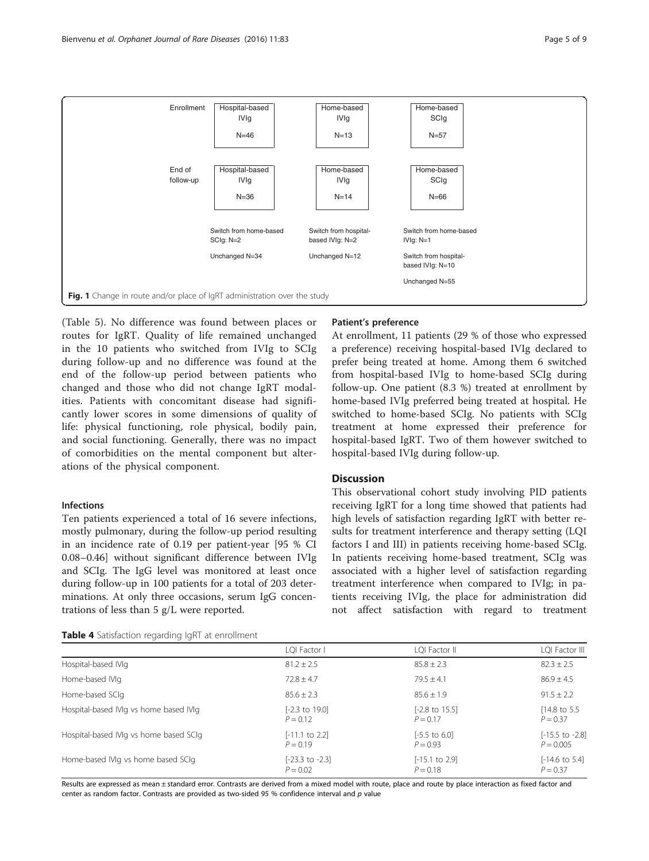<span id="page-4-0"></span>

(Table [5](#page-5-0)). No difference was found between places or routes for IgRT. Quality of life remained unchanged in the 10 patients who switched from IVIg to SCIg during follow-up and no difference was found at the end of the follow-up period between patients who changed and those who did not change IgRT modalities. Patients with concomitant disease had significantly lower scores in some dimensions of quality of life: physical functioning, role physical, bodily pain, and social functioning. Generally, there was no impact of comorbidities on the mental component but alterations of the physical component.

#### Infections

Ten patients experienced a total of 16 severe infections, mostly pulmonary, during the follow-up period resulting in an incidence rate of 0.19 per patient-year [95 % CI 0.08–0.46] without significant difference between IVIg and SCIg. The IgG level was monitored at least once during follow-up in 100 patients for a total of 203 determinations. At only three occasions, serum IgG concentrations of less than 5 g/L were reported.

#### Patient's preference

At enrollment, 11 patients (29 % of those who expressed a preference) receiving hospital-based IVIg declared to prefer being treated at home. Among them 6 switched from hospital-based IVIg to home-based SCIg during follow-up. One patient (8.3 %) treated at enrollment by home-based IVIg preferred being treated at hospital. He switched to home-based SCIg. No patients with SCIg treatment at home expressed their preference for hospital-based IgRT. Two of them however switched to hospital-based IVIg during follow-up.

#### **Discussion**

This observational cohort study involving PID patients receiving IgRT for a long time showed that patients had high levels of satisfaction regarding IgRT with better results for treatment interference and therapy setting (LQI factors I and III) in patients receiving home-based SCIg. In patients receiving home-based treatment, SCIg was associated with a higher level of satisfaction regarding treatment interference when compared to IVIg; in patients receiving IVIg, the place for administration did not affect satisfaction with regard to treatment

|  |  |  |  | Table 4 Satisfaction regarding IgRT at enrollment |
|--|--|--|--|---------------------------------------------------|
|--|--|--|--|---------------------------------------------------|

| <b>Fable +</b> Satisfaction regarding ignit at chromnent |                                          |                                         |                                           |
|----------------------------------------------------------|------------------------------------------|-----------------------------------------|-------------------------------------------|
|                                                          | LQI Factor I                             | LQI Factor II                           | LQI Factor III                            |
| Hospital-based IVIq                                      | $81.2 \pm 2.5$                           | $85.8 \pm 2.3$                          | $82.3 \pm 2.5$                            |
| Home-based IVIq                                          | $72.8 \pm 4.7$                           | $79.5 \pm 4.1$                          | $86.9 \pm 4.5$                            |
| Home-based SCIq                                          | $85.6 \pm 2.3$                           | $85.6 \pm 1.9$                          | $91.5 \pm 2.2$                            |
| Hospital-based IVIg vs home based IVIg                   | $[-2.3 \text{ to } 19.0]$<br>$P = 0.12$  | $[-2.8 \text{ to } 15.5]$<br>$P = 0.17$ | [14.8 to 5.5]<br>$P = 0.37$               |
| Hospital-based IVIg vs home based SCIg                   | $[-11.1 \text{ to } 2.2]$<br>$P = 0.19$  | $[-5.5 \text{ to } 6.0]$<br>$P = 0.93$  | $[-15.5 \text{ to } -2.8]$<br>$P = 0.005$ |
| Home-based IVIg vs home based SCIg                       | $[-23.3 \text{ to } -2.3]$<br>$P = 0.02$ | $[-15.1 \text{ to } 2.9]$<br>$P = 0.18$ | $[-14.6 \text{ to } 5.4]$<br>$P = 0.37$   |

Results are expressed as mean ± standard error. Contrasts are derived from a mixed model with route, place and route by place interaction as fixed factor and center as random factor. Contrasts are provided as two-sided 95 % confidence interval and  $p$  value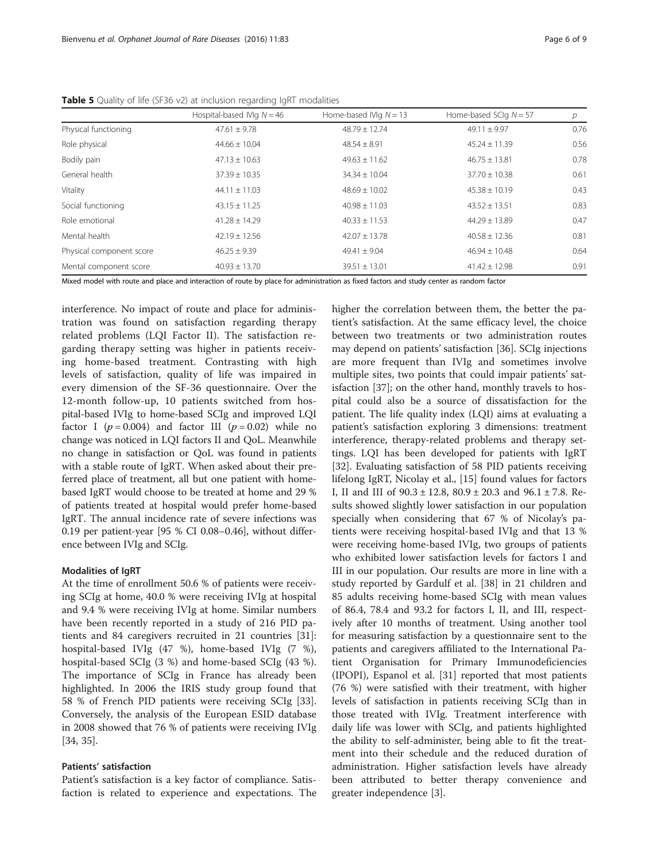|                          | Hospital-based IVIg $N = 46$ | Home-based IVIq $N = 13$ | Home-based SCIq $N = 57$ | р    |
|--------------------------|------------------------------|--------------------------|--------------------------|------|
| Physical functioning     | $47.61 \pm 9.78$             | $48.79 \pm 12.74$        | $49.11 \pm 9.97$         | 0.76 |
| Role physical            | $44.66 \pm 10.04$            | $48.54 \pm 8.91$         | $45.24 \pm 11.39$        | 0.56 |
| Bodily pain              | $47.13 \pm 10.63$            | $49.63 \pm 11.62$        | $46.75 \pm 13.81$        | 0.78 |
| General health           | $37.39 \pm 10.35$            | $34.34 \pm 10.04$        | $37.70 \pm 10.38$        | 0.61 |
| Vitality                 | $44.11 + 11.03$              | $48.69 + 10.02$          | $45.38 \pm 10.19$        | 0.43 |
| Social functioning       | $43.15 \pm 11.25$            | $40.98 + 11.03$          | $43.52 \pm 13.51$        | 0.83 |
| Role emotional           | $41.28 \pm 14.29$            | $40.33 \pm 11.53$        | $44.29 \pm 13.89$        | 0.47 |
| Mental health            | $42.19 + 12.56$              | $42.07 + 13.78$          | $40.58 \pm 12.36$        | 0.81 |
| Physical component score | $46.25 \pm 9.39$             | $49.41 \pm 9.04$         | $46.94 \pm 10.48$        | 0.64 |
| Mental component score   | $40.93 \pm 13.70$            | $39.51 \pm 13.01$        | $41.42 \pm 12.98$        | 0.91 |

<span id="page-5-0"></span>Table 5 Quality of life (SF36 v2) at inclusion regarding IgRT modalities

Mixed model with route and place and interaction of route by place for administration as fixed factors and study center as random factor

interference. No impact of route and place for administration was found on satisfaction regarding therapy related problems (LQI Factor II). The satisfaction regarding therapy setting was higher in patients receiving home-based treatment. Contrasting with high levels of satisfaction, quality of life was impaired in every dimension of the SF-36 questionnaire. Over the 12-month follow-up, 10 patients switched from hospital-based IVIg to home-based SCIg and improved LQI factor I ( $p = 0.004$ ) and factor III ( $p = 0.02$ ) while no change was noticed in LQI factors II and QoL. Meanwhile no change in satisfaction or QoL was found in patients with a stable route of IgRT. When asked about their preferred place of treatment, all but one patient with homebased IgRT would choose to be treated at home and 29 % of patients treated at hospital would prefer home-based IgRT. The annual incidence rate of severe infections was 0.19 per patient-year [95 % CI 0.08–0.46], without difference between IVIg and SCIg.

#### Modalities of IgRT

At the time of enrollment 50.6 % of patients were receiving SCIg at home, 40.0 % were receiving IVIg at hospital and 9.4 % were receiving IVIg at home. Similar numbers have been recently reported in a study of 216 PID patients and 84 caregivers recruited in 21 countries [\[31](#page-7-0)]: hospital-based IVIg (47 %), home-based IVIg (7 %), hospital-based SCIg (3 %) and home-based SCIg (43 %). The importance of SCIg in France has already been highlighted. In 2006 the IRIS study group found that 58 % of French PID patients were receiving SCIg [\[33](#page-8-0)]. Conversely, the analysis of the European ESID database in 2008 showed that 76 % of patients were receiving IVIg [[34, 35\]](#page-8-0).

#### Patients' satisfaction

Patient's satisfaction is a key factor of compliance. Satisfaction is related to experience and expectations. The

higher the correlation between them, the better the patient's satisfaction. At the same efficacy level, the choice between two treatments or two administration routes may depend on patients' satisfaction [[36\]](#page-8-0). SCIg injections are more frequent than IVIg and sometimes involve multiple sites, two points that could impair patients' satisfaction [\[37\]](#page-8-0); on the other hand, monthly travels to hospital could also be a source of dissatisfaction for the patient. The life quality index (LQI) aims at evaluating a patient's satisfaction exploring 3 dimensions: treatment interference, therapy-related problems and therapy settings. LQI has been developed for patients with IgRT [[32\]](#page-7-0). Evaluating satisfaction of 58 PID patients receiving lifelong IgRT, Nicolay et al., [\[15\]](#page-7-0) found values for factors I, II and III of 90.3 ± 12.8, 80.9 ± 20.3 and 96.1 ± 7.8. Results showed slightly lower satisfaction in our population specially when considering that 67 % of Nicolay's patients were receiving hospital-based IVIg and that 13 % were receiving home-based IVIg, two groups of patients who exhibited lower satisfaction levels for factors I and III in our population. Our results are more in line with a study reported by Gardulf et al. [\[38](#page-8-0)] in 21 children and 85 adults receiving home-based SCIg with mean values of 86.4, 78.4 and 93.2 for factors I, II, and III, respectively after 10 months of treatment. Using another tool for measuring satisfaction by a questionnaire sent to the patients and caregivers affiliated to the International Patient Organisation for Primary Immunodeficiencies (IPOPI), Espanol et al. [\[31](#page-7-0)] reported that most patients (76 %) were satisfied with their treatment, with higher levels of satisfaction in patients receiving SCIg than in those treated with IVIg. Treatment interference with daily life was lower with SCIg, and patients highlighted the ability to self-administer, being able to fit the treatment into their schedule and the reduced duration of administration. Higher satisfaction levels have already been attributed to better therapy convenience and greater independence [[3\]](#page-7-0).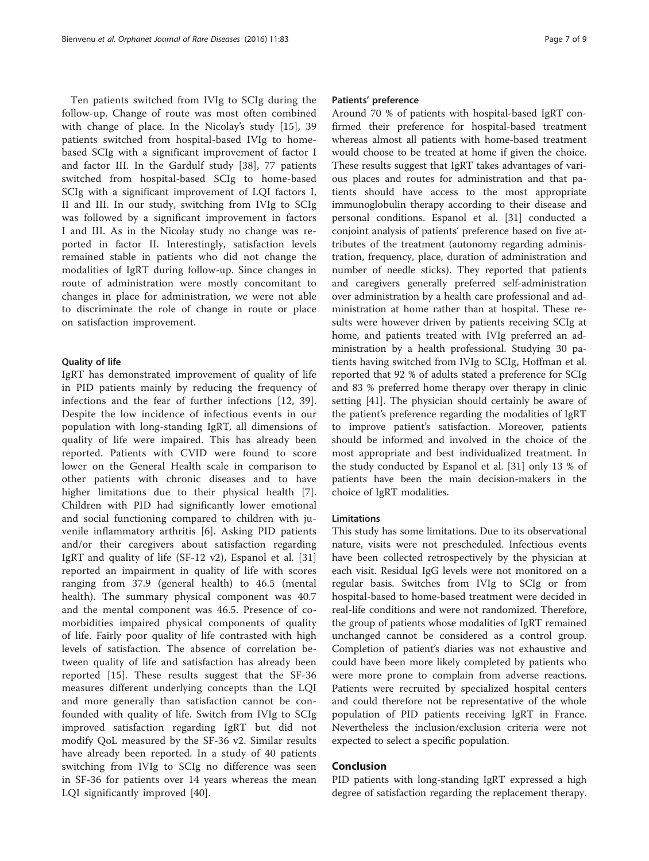Ten patients switched from IVIg to SCIg during the follow-up. Change of route was most often combined with change of place. In the Nicolay's study [\[15](#page-7-0)], 39 patients switched from hospital-based IVIg to homebased SCIg with a significant improvement of factor I and factor III. In the Gardulf study [\[38](#page-8-0)], 77 patients switched from hospital-based SCIg to home-based SCIg with a significant improvement of LQI factors I, II and III. In our study, switching from IVIg to SCIg was followed by a significant improvement in factors I and III. As in the Nicolay study no change was reported in factor II. Interestingly, satisfaction levels remained stable in patients who did not change the modalities of IgRT during follow-up. Since changes in route of administration were mostly concomitant to changes in place for administration, we were not able to discriminate the role of change in route or place on satisfaction improvement.

#### Quality of life

IgRT has demonstrated improvement of quality of life in PID patients mainly by reducing the frequency of infections and the fear of further infections [[12,](#page-7-0) [39](#page-8-0)]. Despite the low incidence of infectious events in our population with long-standing IgRT, all dimensions of quality of life were impaired. This has already been reported. Patients with CVID were found to score lower on the General Health scale in comparison to other patients with chronic diseases and to have higher limitations due to their physical health [[7](#page-7-0)]. Children with PID had significantly lower emotional and social functioning compared to children with juvenile inflammatory arthritis [[6\]](#page-7-0). Asking PID patients and/or their caregivers about satisfaction regarding IgRT and quality of life (SF-12 v2), Espanol et al. [\[31](#page-7-0)] reported an impairment in quality of life with scores ranging from 37.9 (general health) to 46.5 (mental health). The summary physical component was 40.7 and the mental component was 46.5. Presence of comorbidities impaired physical components of quality of life. Fairly poor quality of life contrasted with high levels of satisfaction. The absence of correlation between quality of life and satisfaction has already been reported [[15\]](#page-7-0). These results suggest that the SF-36 measures different underlying concepts than the LQI and more generally than satisfaction cannot be confounded with quality of life. Switch from IVIg to SCIg improved satisfaction regarding IgRT but did not modify QoL measured by the SF-36 v2. Similar results have already been reported. In a study of 40 patients switching from IVIg to SCIg no difference was seen in SF-36 for patients over 14 years whereas the mean LQI significantly improved [[40\]](#page-8-0).

#### Patients' preference

Around 70 % of patients with hospital-based IgRT confirmed their preference for hospital-based treatment whereas almost all patients with home-based treatment would choose to be treated at home if given the choice. These results suggest that IgRT takes advantages of various places and routes for administration and that patients should have access to the most appropriate immunoglobulin therapy according to their disease and personal conditions. Espanol et al. [\[31](#page-7-0)] conducted a conjoint analysis of patients' preference based on five attributes of the treatment (autonomy regarding administration, frequency, place, duration of administration and number of needle sticks). They reported that patients and caregivers generally preferred self-administration over administration by a health care professional and administration at home rather than at hospital. These results were however driven by patients receiving SCIg at home, and patients treated with IVIg preferred an administration by a health professional. Studying 30 patients having switched from IVIg to SCIg, Hoffman et al. reported that 92 % of adults stated a preference for SCIg and 83 % preferred home therapy over therapy in clinic setting [[41\]](#page-8-0). The physician should certainly be aware of the patient's preference regarding the modalities of IgRT to improve patient's satisfaction. Moreover, patients should be informed and involved in the choice of the most appropriate and best individualized treatment. In the study conducted by Espanol et al. [[31\]](#page-7-0) only 13 % of patients have been the main decision-makers in the choice of IgRT modalities.

#### Limitations

This study has some limitations. Due to its observational nature, visits were not prescheduled. Infectious events have been collected retrospectively by the physician at each visit. Residual IgG levels were not monitored on a regular basis. Switches from IVIg to SCIg or from hospital-based to home-based treatment were decided in real-life conditions and were not randomized. Therefore, the group of patients whose modalities of IgRT remained unchanged cannot be considered as a control group. Completion of patient's diaries was not exhaustive and could have been more likely completed by patients who were more prone to complain from adverse reactions. Patients were recruited by specialized hospital centers and could therefore not be representative of the whole population of PID patients receiving IgRT in France. Nevertheless the inclusion/exclusion criteria were not expected to select a specific population.

#### Conclusion

PID patients with long-standing IgRT expressed a high degree of satisfaction regarding the replacement therapy.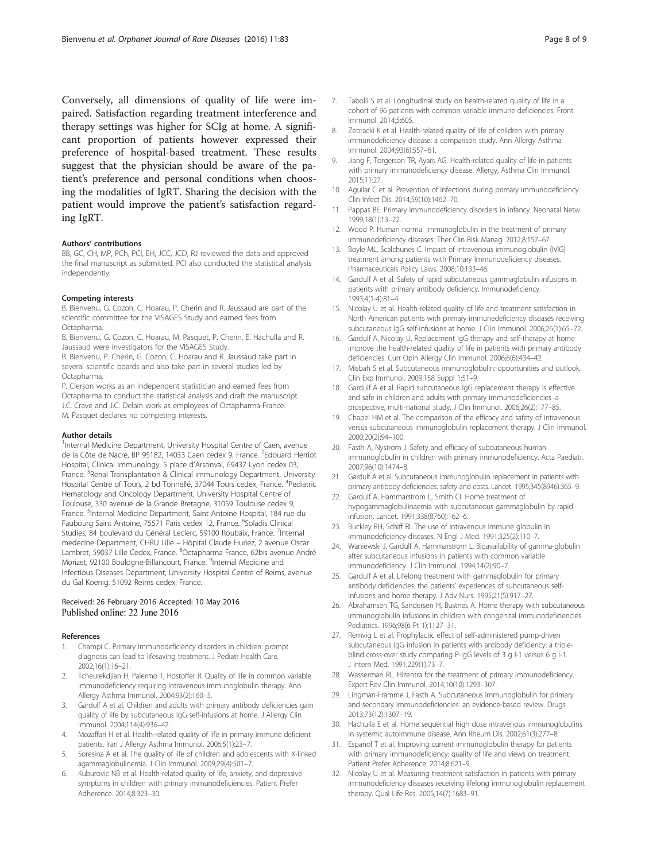<span id="page-7-0"></span>Conversely, all dimensions of quality of life were impaired. Satisfaction regarding treatment interference and therapy settings was higher for SCIg at home. A significant proportion of patients however expressed their preference of hospital-based treatment. These results suggest that the physician should be aware of the patient's preference and personal conditions when choosing the modalities of IgRT. Sharing the decision with the patient would improve the patient's satisfaction regarding IgRT.

#### Authors' contributions

BB, GC, CH, MP, PCh, PCl, EH, JCC, JCD, RJ reviewed the data and approved the final manuscript as submitted. PCl also conducted the statistical analysis independently.

#### Competing interests

B. Bienvenu, G. Cozon, C. Hoarau, P. Cherin and R. Jaussaud are part of the scientific committee for the VISAGES Study and earned fees from Octapharma.

B. Bienvenu, G. Cozon, C. Hoarau, M. Pasquet, P. Cherin, E. Hachulla and R. Jaussaud were investigators for the VISAGES Study.

B. Bienvenu, P. Cherin, G. Cozon, C. Hoarau and R. Jaussaud take part in several scientific boards and also take part in several studies led by Octapharma.

P. Clerson works as an independent statistician and earned fees from Octapharma to conduct the statistical analysis and draft the manuscript. J.C. Crave and J.C. Delain work as employees of Octapharma-France. M. Pasquet declares no competing interests.

#### Author details

<sup>1</sup>Internal Medicine Department, University Hospital Centre of Caen, avenue de la Côte de Nacre, BP 95182, 14033 Caen cedex 9, France. <sup>2</sup>Edouard Herriot Hospital, Clinical Immunology, 5 place d'Arsonval, 69437 Lyon cedex 03, France. <sup>3</sup>Renal Transplantation & Clinical immunology Department, University Hospital Centre of Tours, 2 bd Tonnellé, 37044 Tours cedex, France. <sup>4</sup>Pediatric Hematology and Oncology Department, University Hospital Centre of Toulouse, 330 avenue de la Grande Bretagne, 31059 Toulouse cedex 9, France. <sup>5</sup>Internal Medicine Department, Saint Antoine Hospital, 184 rue du Faubourg Saint Antoine, 75571 Paris cedex 12, France. <sup>6</sup>Soladis Clinical Studies, 84 boulevard du Général Leclerc, 59100 Roubaix, France. <sup>7</sup>Internal medecine Department, CHRU Lille – Hôpital Claude Huriez, 2 avenue Oscar Lambret, 59037 Lille Cedex, France. <sup>8</sup>Octapharma France, 62bis avenue André Morizet, 92100 Boulogne-Billancourt, France. <sup>9</sup>Internal Medicine and Infectious Diseases Department, University Hospital Centre of Reims, avenue du Gal Koenig, 51092 Reims cedex, France.

## Received: 26 February 2016 Accepted: 10 May 2016<br>Published online: 22 June 2016

#### References

- 1. Champi C. Primary immunodeficiency disorders in children: prompt diagnosis can lead to lifesaving treatment. J Pediatr Health Care. 2002;16(1):16–21.
- 2. Tcheurekdjian H, Palermo T, Hostoffer R. Quality of life in common variable immunodeficiency requiring intravenous immunoglobulin therapy. Ann Allergy Asthma Immunol. 2004;93(2):160–5.
- Gardulf A et al. Children and adults with primary antibody deficiencies gain quality of life by subcutaneous IgG self-infusions at home. J Allergy Clin Immunol. 2004;114(4):936–42.
- 4. Mozaffari H et al. Health-related quality of life in primary immune deficient patients. Iran J Allergy Asthma Immunol. 2006;5(1):23–7.
- 5. Soresina A et al. The quality of life of children and adolescents with X-linked agammaglobulinemia. J Clin Immunol. 2009;29(4):501–7.
- 6. Kuburovic NB et al. Health-related quality of life, anxiety, and depressive symptoms in children with primary immunodeficiencies. Patient Prefer Adherence. 2014;8:323–30.
- 7. Tabolli S et al. Longitudinal study on health-related quality of life in a cohort of 96 patients with common variable immune deficiencies. Front Immunol. 2014;5:605.
- 8. Zebracki K et al. Health-related quality of life of children with primary immunodeficiency disease: a comparison study. Ann Allergy Asthma Immunol. 2004;93(6):557–61.
- Jiang F, Torgerson TR, Ayars AG. Health-related quality of life in patients with primary immunodeficiency disease. Allergy, Asthma Clin Immunol. 2015;11:27.
- 10. Aguilar C et al. Prevention of infections during primary immunodeficiency. Clin Infect Dis. 2014;59(10):1462–70.
- 11. Pappas BE. Primary immunodeficiency disorders in infancy. Neonatal Netw. 1999;18(1):13–22.
- 12. Wood P. Human normal immunoglobulin in the treatment of primary immunodeficiency diseases. Ther Clin Risk Manag. 2012;8:157–67.
- 13. Boyle ML, Scalchunes C. Impact of intravenous immunoglobulin (IVIG) treatment among patients with Primary Immunodeficiency diseases. Pharmaceuticals Policy Laws. 2008;10:133–46.
- 14. Gardulf A et al. Safety of rapid subcutaneous gammaglobulin infusions in patients with primary antibody deficiency. Immunodeficiency. 1993;4(1-4):81–4.
- 15. Nicolay U et al. Health-related quality of life and treatment satisfaction in North American patients with primary immunedeficiency diseases receiving subcutaneous IgG self-infusions at home. J Clin Immunol. 2006;26(1):65–72.
- 16. Gardulf A, Nicolay U. Replacement IgG therapy and self-therapy at home improve the health-related quality of life in patients with primary antibody deficiencies. Curr Opin Allergy Clin Immunol. 2006;6(6):434–42.
- 17. Misbah S et al. Subcutaneous immunoglobulin: opportunities and outlook. Clin Exp Immunol. 2009;158 Suppl 1:51–9.
- 18. Gardulf A et al. Rapid subcutaneous IgG replacement therapy is effective and safe in children and adults with primary immunodeficiencies–a prospective, multi-national study. J Clin Immunol. 2006;26(2):177–85.
- 19. Chapel HM et al. The comparison of the efficacy and safety of intravenous versus subcutaneous immunoglobulin replacement therapy. J Clin Immunol. 2000;20(2):94–100.
- 20. Fasth A, Nystrom J. Safety and efficacy of subcutaneous human immunoglobulin in children with primary immunodeficiency. Acta Paediatr. 2007;96(10):1474–8.
- 21. Gardulf A et al. Subcutaneous immunoglobulin replacement in patients with primary antibody deficiencies: safety and costs. Lancet. 1995;345(8946):365–9.
- 22. Gardulf A, Hammarstrom L, Smith CI. Home treatment of hypogammaglobulinaemia with subcutaneous gammaglobulin by rapid infusion. Lancet. 1991;338(8760):162–6.
- 23. Buckley RH, Schiff RI. The use of intravenous immune globulin in immunodeficiency diseases. N Engl J Med. 1991;325(2):110–7.
- 24. Waniewski J, Gardulf A, Hammarstrom L. Bioavailability of gamma-globulin after subcutaneous infusions in patients with common variable immunodeficiency. J Clin Immunol. 1994;14(2):90–7.
- 25. Gardulf A et al. Lifelong treatment with gammaglobulin for primary antibody deficiencies: the patients' experiences of subcutaneous selfinfusions and home therapy. J Adv Nurs. 1995;21(5):917–27.
- 26. Abrahamsen TG, Sandersen H, Bustnes A. Home therapy with subcutaneous immunoglobulin infusions in children with congenital immunodeficiencies. Pediatrics. 1996;98(6 Pt 1):1127–31.
- 27. Remvig L et al. Prophylactic effect of self-administered pump-driven subcutaneous IgG infusion in patients with antibody deficiency: a tripleblind cross-over study comparing P-IgG levels of 3 g l-1 versus 6 g l-1. J Intern Med. 1991;229(1):73–7.
- 28. Wasserman RL. Hizentra for the treatment of primary immunodeficiency. Expert Rev Clin Immunol. 2014;10(10):1293–307.
- 29. Lingman-Framme J, Fasth A. Subcutaneous immunoglobulin for primary and secondary immunodeficiencies: an evidence-based review. Drugs. 2013;73(12):1307–19.
- 30. Hachulla E et al. Home sequential high dose intravenous immunoglobulins in systemic autoimmune disease. Ann Rheum Dis. 2002;61(3):277–8.
- 31. Espanol T et al. Improving current immunoglobulin therapy for patients with primary immunodeficiency: quality of life and views on treatment. Patient Prefer Adherence. 2014;8:621–9.
- 32. Nicolay U et al. Measuring treatment satisfaction in patients with primary immunodeficiency diseases receiving lifelong immunoglobulin replacement therapy. Qual Life Res. 2005;14(7):1683–91.